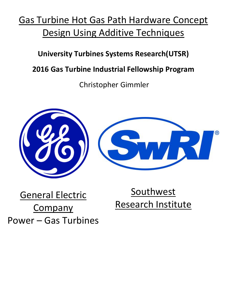## Gas Turbine Hot Gas Path Hardware Concept Design Using Additive Techniques

### **University Turbines Systems Research(UTSR)**

### **2016 Gas Turbine Industrial Fellowship Program**

Christopher Gimmler



# General Electric **Company** Power – Gas Turbines

**Southwest** Research Institute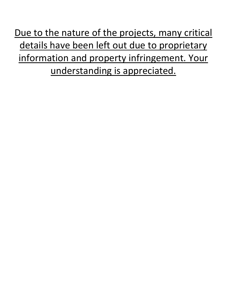Due to the nature of the projects, many critical details have been left out due to proprietary information and property infringement. Your understanding is appreciated.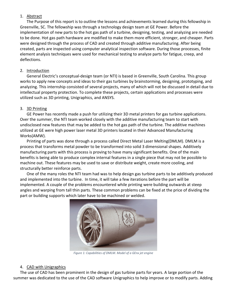#### 1. Abstract

The Purpose of this report is to outline the lessons and achievements learned during this fellowship in Greenville, SC. The fellowship was through a technology design team at GE Power. Before the implementation of new parts to the hot gas path of a turbine, designing, testing, and analyzing are needed to be done. Hot gas path hardware are modified to make them more efficient, stronger, and cheaper. Parts were designed through the process of CAD and created through additive manufacturing. After being created, parts are inspected using computer analytical inspection software. During those processes, finite element analysis techniques were used for mechanical testing to analyze parts for fatigue, creep, and deflections.

#### 2. Introduction

General Electric's conceptual-design team (or NTI) is based in Greenville, South Carolina. This group works to apply new concepts and ideas to their gas turbines by brainstorming, designing, prototyping, and analyzing. This internship consisted of several projects, many of which will not be discussed in detail due to intellectual property protection. To complete these projects, certain applications and processes were utilized such as 3D printing, Unigraphics, and ANSYS.

#### 3. 3D Printing

GE Power has recently made a push for utilizing their 3D metal printers for gas turbine applications. Over the summer, the NTI team worked closely with the additive manufacturing team to start with undisclosed new features that may be added to the hot gas path of the turbine. The additive machines utilized at GE were high power laser metal 3D printers located in their Advanced Manufacturing Works(AMW).

Printing of parts was done through a process called Direct Metal Laser Melting(DMLM). DMLM is a process that transforms metal powder to be transformed into solid 3 dimensional shapes. Additively manufacturing parts with this process is proving to have many significant benefits. One of the main benefits is being able to produce complex internal features in a single piece that may not be possible to machine out. These features may be used to save or distribute weight, create more cooling, and structurally better reinforce parts.

One of the many roles the NTI team had was to help design gas turbine parts to be additively produced and implemented into the turbine. In time, it will take a few iterations before the part will be implemented. A couple of the problems encountered while printing were building outwards at steep angles and warping from tall thin parts. These common problems can be fixed at the price of dividing the part or building supports which later have to be machined or welded.



*Figure 1: Capabilities of DMLM. Model of a GEnx jet engine*

#### 4. CAD with Unigraphics

The use of CAD has been prominent in the design of gas turbine parts for years. A large portion of the summer was dedicated to the use of the CAD software Unigraphics to help improve or to modify parts. Adding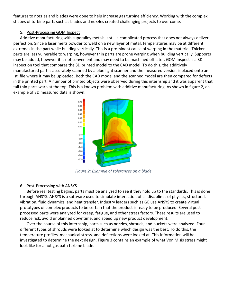features to nozzles and blades were done to help increase gas turbine efficiency. Working with the complex shapes of turbine parts such as blades and nozzles created challenging projects to overcome.

#### 5. Post-Processing GOM Inspect

Additive manufacturing with superalloy metals is still a complicated process that does not always deliver perfection. Since a laser melts powder to weld on a new layer of metal, temperatures may be at different extremes in the part while building vertically. This is a prominent cause of warping in the material. Thicker parts are less vulnerable to warping, however thin parts are prone warping when building vertically. Supports may be added, however it is not convenient and may need to be machined off later. GOM Inspect is a 3D inspection tool that compares the 3D printed model to the CAD model. To do this, the additively manufactured part is accurately scanned by a blue light scanner and the measured version is placed onto an .stl file where it may be uploaded. Both the CAD model and the scanned model are then compared for defects in the printed part. A number of printed objects were observed during this internship and it was apparent that tall thin parts warp at the top. This is a known problem with additive manufacturing. As shown in figure 2, an example of 3D measured data is shown.



*Figure 2: Example of tolerances on a blade*

#### 6. Post-Processing with ANSYS

Before real testing begins, parts must be analyzed to see if they hold up to the standards. This is done through ANSYS. ANSYS is a software used to simulate interaction of all disciplines of physics, structural, vibration, fluid dynamics, and heat transfer. Industry leaders such as GE use ANSYS to create virtual prototypes of complex products to be certain that the product is ready to be produced. Several post processed parts were analyzed for creep, fatigue, and other stress factors. These results are used to reduce risk, avoid unplanned downtime, and speed up new product development.

Over the course of this internship, parts such as nozzles, shrouds, and buckets were analyzed. Four different types of shrouds were looked at to determine which design was the best. To do this, the temperature profiles, mechanical stress, and deflections were looked at. This information will be investigated to determine the next design. Figure 3 contains an example of what Von Misis stress might look like for a hot gas path turbine blade.